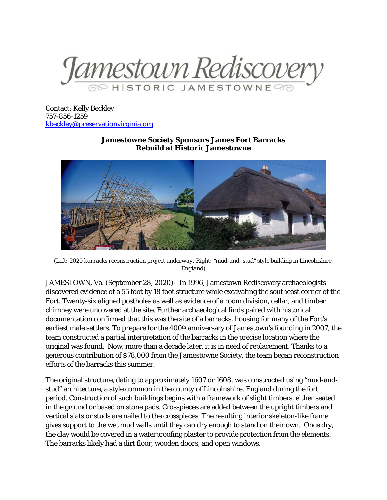

Contact: Kelly Beckley 757-856-1259 [kbeckley@preservationvirginia.org](mailto:kbeckley@preservationvirginia.org)

## **Jamestowne Society Sponsors James Fort Barracks Rebuild at Historic Jamestowne**



*(Left: 2020 barracks reconstruction project underway. Right: "mud-and- stud" style building in Lincolnshire, England)*

JAMESTOWN, Va. (September 28, 2020)- In 1996, Jamestown Rediscovery archaeologists discovered evidence of a 55 foot by 18 foot structure while excavating the southeast corner of the Fort. Twenty-six aligned postholes as well as evidence of a room division, cellar, and timber chimney were uncovered at the site. Further archaeological finds paired with historical documentation confirmed that this was the site of a barracks, housing for many of the Fort's earliest male settlers. To prepare for the 400<sup>th</sup> anniversary of Jamestown's founding in 2007, the team constructed a partial interpretation of the barracks in the precise location where the original was found. Now, more than a decade later, it is in need of replacement. Thanks to a generous contribution of \$78,000 from the Jamestowne Society, the team began reconstruction efforts of the barracks this summer.

The original structure, dating to approximately 1607 or 1608, was constructed using "mud-andstud" architecture, a style common in the county of Lincolnshire, England during the fort period. Construction of such buildings begins with a framework of slight timbers, either seated in the ground or based on stone pads. Crosspieces are added between the upright timbers and vertical slats or studs are nailed to the crosspieces. The resulting interior skeleton-like frame gives support to the wet mud walls until they can dry enough to stand on their own. Once dry, the clay would be covered in a waterproofing plaster to provide protection from the elements. The barracks likely had a dirt floor, wooden doors, and open windows.